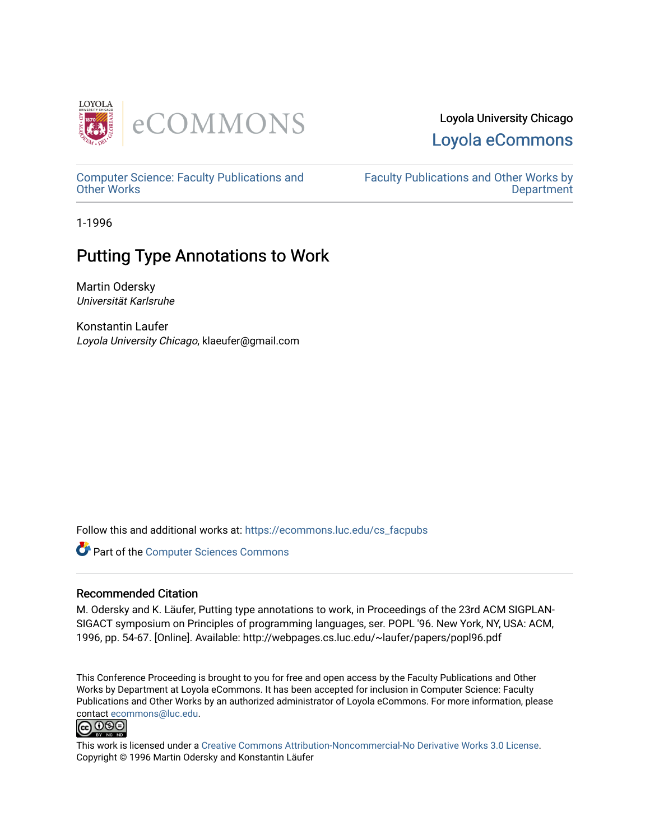

## Loyola University Chicago [Loyola eCommons](https://ecommons.luc.edu/)

[Computer Science: Faculty Publications and](https://ecommons.luc.edu/cs_facpubs) [Other Works](https://ecommons.luc.edu/cs_facpubs)

[Faculty Publications and Other Works by](https://ecommons.luc.edu/faculty)  **Department** 

1-1996

# Putting Type Annotations to Work

Martin Odersky Universität Karlsruhe

Konstantin Laufer Loyola University Chicago, klaeufer@gmail.com

Follow this and additional works at: [https://ecommons.luc.edu/cs\\_facpubs](https://ecommons.luc.edu/cs_facpubs?utm_source=ecommons.luc.edu%2Fcs_facpubs%2F58&utm_medium=PDF&utm_campaign=PDFCoverPages)

**Part of the [Computer Sciences Commons](http://network.bepress.com/hgg/discipline/142?utm_source=ecommons.luc.edu%2Fcs_facpubs%2F58&utm_medium=PDF&utm_campaign=PDFCoverPages)** 

### Recommended Citation

M. Odersky and K. Läufer, Putting type annotations to work, in Proceedings of the 23rd ACM SIGPLAN-SIGACT symposium on Principles of programming languages, ser. POPL '96. New York, NY, USA: ACM, 1996, pp. 54-67. [Online]. Available: http://webpages.cs.luc.edu/~laufer/papers/popl96.pdf

This Conference Proceeding is brought to you for free and open access by the Faculty Publications and Other Works by Department at Loyola eCommons. It has been accepted for inclusion in Computer Science: Faculty Publications and Other Works by an authorized administrator of Loyola eCommons. For more information, please contact [ecommons@luc.edu.](mailto:ecommons@luc.edu)<br>@009



This work is licensed under a [Creative Commons Attribution-Noncommercial-No Derivative Works 3.0 License.](https://creativecommons.org/licenses/by-nc-nd/3.0/) Copyright © 1996 Martin Odersky and Konstantin Läufer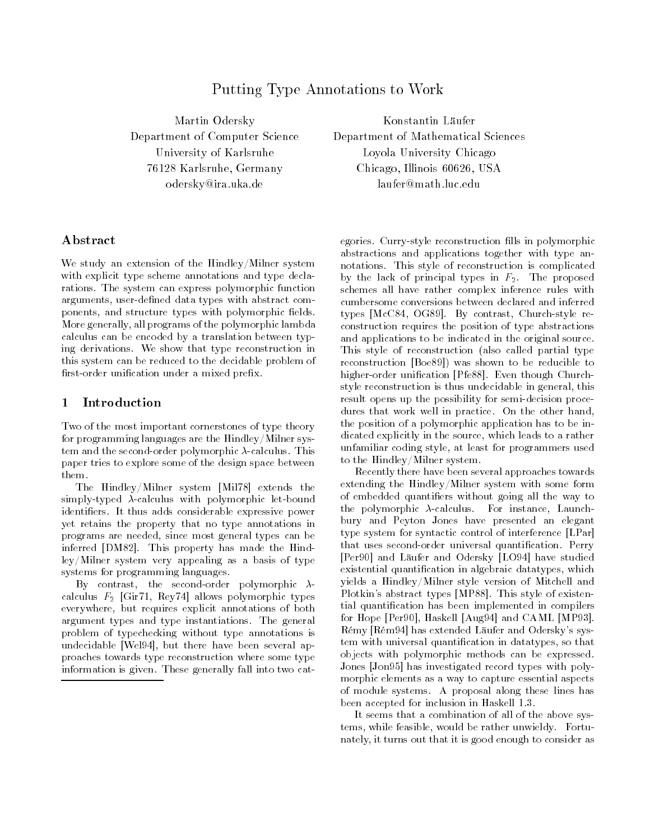## Putting Type Annotations to Work

Martin Odersky Department of Computer Science University of Karlsruhe 76128 Karlsruhe, Germany odersky@ira.uka.de

Konstantin Läufer Department of Mathematical Sciences Loyola University Chicago Chicago, Illinois 60626, USA laufer@math.luc.edu

### Abstract

We study an extension of the Hindley/Milner system with explicit type scheme annotations and type declarations. The system can express polymorphic function arguments, user-defined data types with abstract components, and structure types with polymorphic fields. More generally, all programs of the polymorphic lambda calculus can be encoded by a translation between typing derivations. We show that type reconstruction in this system can be reduced to the decidable problem of first-order unification under a mixed prefix.

### 1 Introduction

Two of the most important cornerstones of type theory for programming languages are the Hindley/Milner system and the second-order polymorphic  $\lambda$ -calculus. This paper tries to explore some of the design space between them.

The Hindley/Milner system [Mil78] extends the simply-typed  $\lambda$ -calculus with polymorphic let-bound identifiers. It thus adds considerable expressive power yet retains the property that no type annotations in programs are needed, since most general types can be inferred [DM82]. This property has made the Hindley/Milner system very appealing as a basis of type systems for programming languages.

By contrast, the second-order polymorphic  $\lambda$ calculus  $F_2$  [Gir71, Rey74] allows polymorphic types everywhere, but requires explicit annotations of both argument types and type instantiations. The general problem of typechecking without type annotations is undecidable [Wel94], but there have been several approaches towards type reconstruction where some type information is given. These generally fall into two categories. Curry-style reconstruction fills in polymorphic abstractions and applications together with type annotations. This style of reconstruction is complicated by the lack of principal types in  $F_2$ . The proposed schemes all have rather complex inference rules with cumbersome conversions between declared and inferred types [McC84, OG89]. By contrast, Church-style reconstruction requires the position of type abstractions and applications to be indicated in the original source. This style of reconstruction (also called partial type reconstruction [Boe89]) was shown to be reducible to higher-order unification [Pfe88]. Even though Churchstyle reconstruction is thus undecidable in general, this result opens up the possibility for semi-decision procedures that work well in practice. On the other hand, the position of a polymorphic application has to be indicated explicitly in the source, which leads to a rather unfamiliar coding style, at least for programmers used to the Hindley/Milner system.

Recently there have been several approaches towards extending the Hindley/Milner system with some form of embedded quantifiers without going all the way to the polymorphic  $\lambda$ -calculus. For instance, Launchbury and Peyton Jones have presented an elegant type system for syntactic control of interference [LPar] that uses second-order universal quantification. Perry [Per90] and Läufer and Odersky [LO94] have studied existential quantification in algebraic datatypes, which yields a Hindley/Milner style version of Mitchell and Plotkin's abstract types [MP88]. This style of existential quantification has been implemented in compilers for Hope [Per90], Haskell [Aug94] and CAML [MP93]. Rémy [Rém94] has extended Läufer and Odersky's system with universal quantification in datatypes, so that objects with polymorphic methods can be expressed. Jones [Jon95] has investigated record types with polymorphic elements as a way to capture essential aspects of module systems. A proposal along these lines has been accepted for inclusion in Haskell 1.3.

It seems that a combination of all of the above systems, while feasible, would be rather unwieldy. Fortunately, it turns out that it is good enough to consider as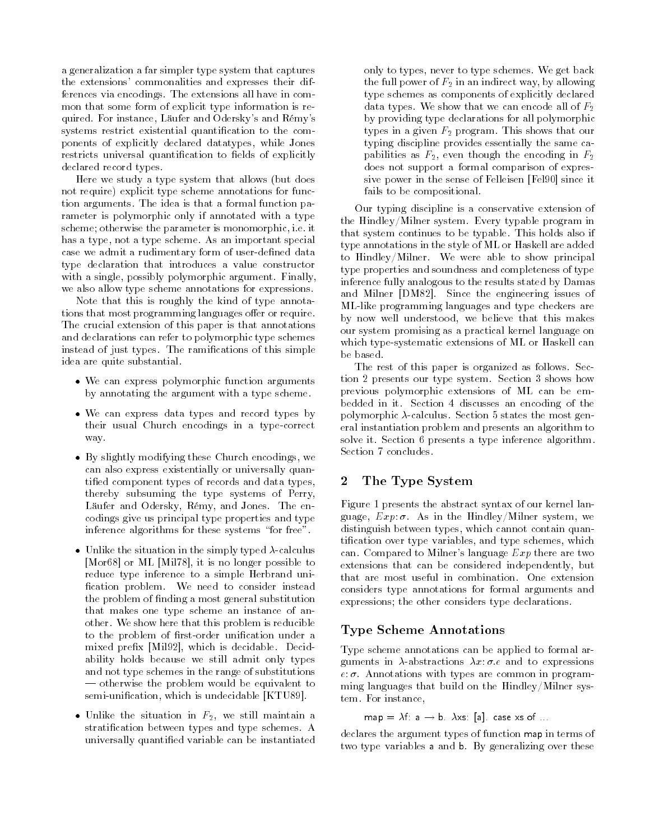a generalization a far simpler type system that captures the extensions' commonalities and expresses their differences via encodings. The extensions all have in common that some form of explicit type information is required. For instance, Läufer and Odersky's and Rémy's systems restrict existential quantification to the components of explicitly declared datatypes, while Jones restricts universal quantification to fields of explicitly declared record types.

Here we study a type system that allows (but does not require) explicit type scheme annotations for function arguments. The idea is that a formal function parameter is polymorphic only if annotated with a type scheme; otherwise the parameter is monomorphic, i.e. it has a type, not a type scheme. As an important special case we admit a rudimentary form of user-defined data type declaration that introduces a value constructor with a single, possibly polymorphic argument. Finally, we also allow type scheme annotations for expressions.

Note that this is roughly the kind of type annotations that most programming languages offer or require. The crucial extension of this paper is that annotations and declarations can refer to polymorphic type schemes instead of just types. The ramications of this simple idea are quite substantial.

- We can express polymorphic function arguments by annotating the argument with a type scheme.
- We can express data types and record types by their usual Church encodings in a type-correct way.
- By slightly modifying these Church encodings, we can also express existentially or universally quantified component types of records and data types, thereby subsuming the type systems of Perry, Läufer and Odersky, Rémy, and Jones. The encodings give us principal type properties and type inference algorithms for these systems "for free".
- Unlike the situation in the simply typed  $\lambda$ -calculus [Mor68] or ML [Mil78], it is no longer possible to reduce type inference to a simple Herbrand uni fication problem. We need to consider instead the problem of finding a most general substitution that makes one type scheme an instance of another. We show here that this problem is reducible to the problem of first-order unification under a mixed prefix [Mil92], which is decidable. Decidability holds because we still admit only types and not type schemes in the range of substitutions otherwise the problem would be equivalent to semi-unification, which is undecidable [KTU89].
- Unlike the situation in  $F_2$ , we still maintain a stratification between types and type schemes. A universally quantified variable can be instantiated

only to types, never to type schemes. We get back the full power of  $F_2$  in an indirect way, by allowing type schemes as components of explicitly declared data types. We show that we can encode all of  $F_2$ by providing type declarations for all polymorphic types in a given  $F_2$  program. This shows that our typing discipline provides essentially the same capabilities as  $F_2$ , even though the encoding in  $F_2$ does not support a formal comparison of expressive power in the sense of Felleisen [Fel90] since it fails to be compositional.

Our typing discipline is a conservative extension of the Hindley/Milner system. Every typable program in that system continues to be typable. This holds also if type annotations in the style of ML or Haskell are added to Hindley/Milner. We were able to show principal type properties and soundness and completeness of type inference fully analogous to the results stated by Damas and Milner [DM82]. Since the engineering issues of ML-like programming languages and type checkers are by now well understood, we believe that this makes our system promising as a practical kernel language on which type-systematic extensions of ML or Haskell can be based.

The rest of this paper is organized as follows. Section 2 presents our type system. Section 3 shows how previous polymorphic extensions of ML can be embedded in it. Section 4 discusses an encoding of the polymorphic  $\lambda$ -calculus. Section 5 states the most general instantiation problem and presents an algorithm to solve it. Section 6 presents a type inference algorithm. Section 7 concludes.

### 2 The Type System

Figure 1 presents the abstract syntax of our kernel language,  $Exp: \sigma$ . As in the Hindley/Milner system, we distinguish between types, which cannot contain quantification over type variables, and type schemes, which can. Compared to Milner's language  $Exp$  there are two extensions that can be considered independently, but that are most useful in combination. One extension considers type annotations for formal arguments and expressions; the other considers type declarations.

### Type Scheme Annotations

Type scheme annotations can be applied to formal arguments in  $\lambda$ -abstractions  $\lambda x:\sigma e$  and to expressions  $e: \sigma$ . Annotations with types are common in programming languages that build on the Hindley/Milner system. For instance,

map  $= \lambda f$ : a  $\rightarrow$  b.  $\lambda$ xs: [a]. case xs of ......

declares the argument types of function map in terms of two type variables <sup>a</sup> and b. By generalizing over these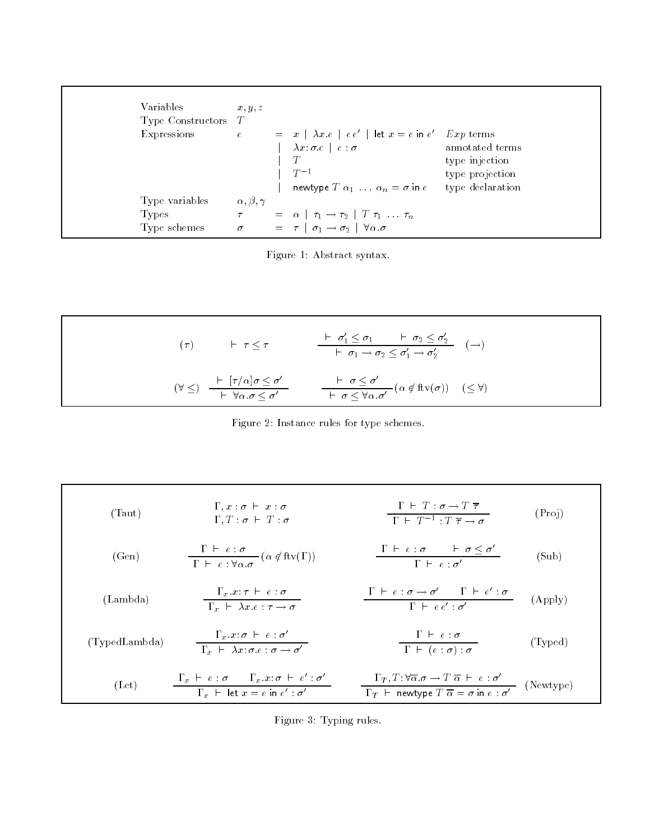| Variables             | x, y, z                 |                                                                                                |                  |  |
|-----------------------|-------------------------|------------------------------------------------------------------------------------------------|------------------|--|
| Type Constructors $T$ |                         |                                                                                                |                  |  |
| Expressions           |                         | $e = x \mid \lambda x \cdot e \mid e \cdot e' \mid \text{let } x = e \text{ in } e'$ Exp terms |                  |  |
|                       |                         | $\lambda x : \sigma e \mid e : \sigma$                                                         | annotated terms  |  |
|                       |                         | T                                                                                              | type injection   |  |
|                       |                         | $T^{-1}$                                                                                       | type projection  |  |
|                       |                         | newtype $T \alpha_1 \ldots \alpha_n = \sigma$ in $e$                                           | type declaration |  |
| Type variables        | $\alpha, \beta, \gamma$ |                                                                                                |                  |  |
| <b>Types</b>          |                         | $\tau = \alpha \mid \tau_1 \rightarrow \tau_2 \mid T \tau_1 \ldots \tau_n$                     |                  |  |
| Type schemes          |                         | $\sigma = \tau \mid \sigma_1 \rightarrow \sigma_2 \mid \forall \alpha . \sigma$                |                  |  |

Figure 1: Abstract syntax.

$$
(\tau) \qquad \vdash \tau \leq \tau \qquad \qquad \frac{\vdash \sigma_1' \leq \sigma_1 \qquad \vdash \sigma_2 \leq \sigma_2'}{\vdash \sigma_1 \rightarrow \sigma_2 \leq \sigma_1' \rightarrow \sigma_2'} \qquad (\rightarrow)
$$
\n
$$
(\forall \leq) \quad \frac{\vdash [\tau/\alpha]\sigma \leq \sigma'}{\vdash \forall \alpha. \sigma \leq \sigma'} \qquad \qquad \frac{\vdash \sigma \leq \sigma'}{\vdash \sigma \leq \forall \alpha. \sigma'} \left(\alpha \notin \text{ftv}(\sigma)\right) \quad (\leq \forall)
$$

Figure 2: Instance rules for type schemes.

(Taut) 
$$
\Gamma, x : \sigma \vdash x : \sigma
$$
  
\n $\Gamma, T : \sigma \vdash T : \sigma$   
\n $\Gamma, T : \sigma \vdash T : \sigma$   
\n $\Gamma \vdash T^{-1} : T \overline{\tau} \to \sigma$   
\n(1  
\n(den)  $\frac{\Gamma \vdash e : \sigma}{\Gamma \vdash e : \forall \alpha. \sigma} (\alpha \notin \text{ftv}(\Gamma))$   
\n $\frac{\Gamma \vdash e : \sigma}{\Gamma \vdash e : \forall \alpha. \sigma} (\alpha \notin \text{ftv}(\Gamma))$   
\n $\frac{\Gamma \vdash e : \sigma \vdash \sigma \leq \sigma'}{\Gamma \vdash e : \sigma'}$   
\n $\frac{\Gamma \vdash e : \sigma \to \sigma'}{\Gamma \vdash e : \sigma \vdash \alpha \vdash \sigma'}$   
\n(1  
\n(1  
\n**2**  
\n $\Gamma \vdash e : \sigma \to \sigma'$   
\n $\frac{\Gamma \vdash e : \sigma \to \sigma'}{\Gamma \vdash e : \sigma'}$   
\n $\frac{\Gamma \vdash e : \sigma}{\Gamma \vdash (e : \sigma) : \sigma}$   
\n(1  
\n**3**  
\n $\frac{\Gamma_x \vdash e : \sigma \vdash e : \sigma'}{\Gamma_x \vdash \exists \alpha \vdash e : \sigma'}$   
\n $\frac{\Gamma_x \vdash e : \sigma}{\Gamma_x \vdash \exists \alpha \vdash e : \alpha'}$   
\n $\frac{\Gamma_T, T : \forall \overline{\alpha}. \sigma \to T \overline{\alpha} \vdash e : \sigma'}{\Gamma_T \vdash \text{newtype } T \overline{\alpha} = \sigma \text{ in } e : \sigma'}$   
\n(1  
\n**4**  
\n(2  
\n $\Gamma_x \vdash e : \sigma$   
\n $\frac{\Gamma_x \vdash e : \sigma}{\Gamma_x \vdash \exists \alpha \vdash e : \sigma'}$   
\n $\frac{\Gamma_T, T : \forall \overline{\alpha}. \sigma \to T \overline{\alpha} \vdash e : \sigma'}{\Gamma_T \vdash \text{newtype } T \overline{\alpha} = \sigma \text{ in } e : \sigma'}$   
\n(2  
\n $\Gamma_x \vdash e : \sigma \vdash \alpha$   
\n $\Gamma_x \vdash e : \sigma \vdash e :$ 

Figure 3: Typing rules.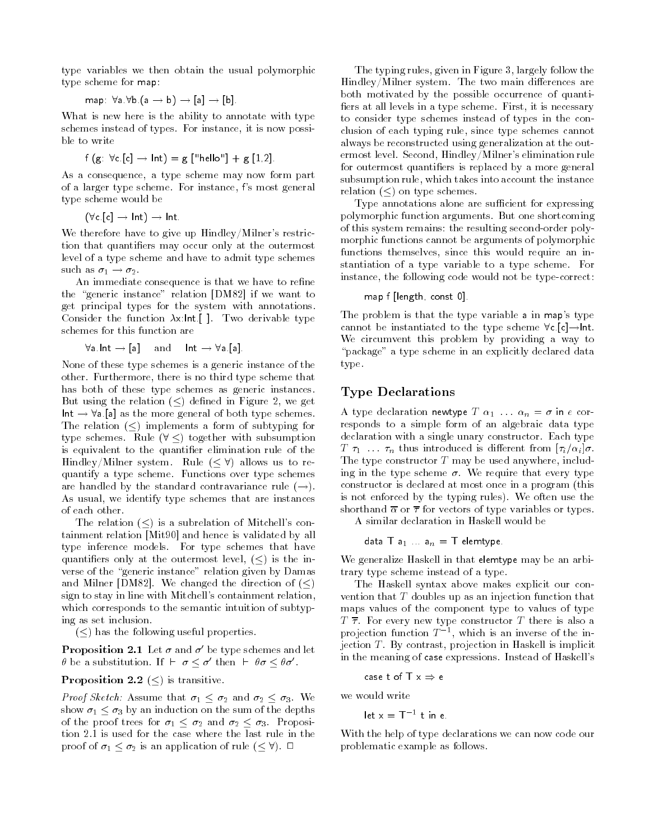type variables we then obtain the usual polymorphic type scheme for map:

$$
\mathsf{map} \ \ \, \forall \mathsf{a} \,\, \forall \mathsf{b} \,\, (\mathsf{a} \to \mathsf{b}) \to \llbracket \mathsf{a} \rrbracket \to \llbracket \mathsf{b} \rrbracket
$$

What is new here is the ability to annotate with type schemes instead of types. For instance, it is now possible to write

$$
f(g: \forall c [c] \rightarrow Int) = g['hello"] + g [1,2].
$$

As a consequence, a type scheme may now form part of a larger type scheme. For instance, <sup>f</sup>'s most general type scheme would be

(Vc.[c]  $\rightarrow$  Int)  $\rightarrow$  Int.  $\qquad$ 

We therefore have to give up Hindley/Milner's restriction that quantifiers may occur only at the outermost level of a type scheme and have to admit type schemes such as  $\sigma_1 \rightarrow \sigma_2$ .

An immediate consequence is that we have to refine the "generic instance" relation [DM82] if we want to get principal types for the system with annotations. Consider the function  $\lambda x$ :Int.[]. Two derivable type<br>schemes for this function are<br> $\forall a$ .Int  $\rightarrow$  [a] and  $\mid$  Int  $\rightarrow \forall a$ .[a].

$$
\forall a \; \mathsf{Int} \to [a] \quad \text{and} \quad \mathsf{Int} \to \forall a \; [a]
$$

None of these type schemes is a generic instance of the other. Furthermore, there is no third type scheme that has both of these type schemes as generic instances. But using the relation  $(<)$  defined in Figure 2, we get Intboth of these type schemes as generic instances.<br>  $\therefore$  using the relation ( $\leq$ ) defined in Figure 2, we get<br>  $\rightarrow \forall a$  [a] as the more general of both type schemes. The relation  $(\le)$  implements a form of subtyping for  $Int \rightarrow \forall a$  [a] as the more general of both type schemes.<br>The relation ( $\leq$ ) implements a form of subtyping for<br>type schemes. Rule ( $\forall$  <) together with subsumption is equivalent to the quantifier elimination rule of the type schemes. Rule  $(\forall \leq)$  together with subsumption<br>is equivalent to the quantifier elimination rule of the<br>Hindley/Milner system. Rule  $( $\forall$ ) allows us to re$ quantify a type scheme. Functions over type schemes are handled by the standard contravariance rule  $(\rightarrow)$ . As usual, we identify type schemes that are instances of each other.

The relation  $(<)$  is a subrelation of Mitchell's containment relation [Mit90] and hence is validated by all type inference models. For type schemes that have quantifiers only at the outermost level,  $(\le)$  is the inverse of the "generic instance" relation given by Damas and Milner [DM82]. We changed the direction of  $(\le)$ sign to stay in line with Mitchell's containment relation, which corresponds to the semantic intuition of subtyping as set inclusion.

 $(<)$  has the following useful properties.

**Proposition 2.1** Let  $\sigma$  and  $\sigma'$  be type schemes and let  $\theta$  be a substitution. If  $\vdash \sigma \leq \sigma'$  then  $\vdash \theta \sigma \leq \theta \sigma'$ .

### **Proposition 2.2**  $(\le)$  is transitive.

*Proof Sketch:* Assume that  $\sigma_1 < \sigma_2$  and  $\sigma_2 < \sigma_3$ . We show  $\sigma_1 \leq \sigma_3$  by an induction on the sum of the depths of the proof trees for  $\sigma_1 \leq \sigma_2$  and  $\sigma_2 \leq \sigma_3$ . Proposition 2.1 is used for the case where the last rule in the proof of  $\sigma_1 < \sigma_2$  is an application of rule  $( $\forall$ ).  $\square$$ tion 2.1 is used for the case where the last rule in the

The typing rules, given in Figure 3, largely follow the Hindley/Milner system. The two main differences are both motivated by the possible occurrence of quanti fiers at all levels in a type scheme. First, it is necessary to consider type schemes instead of types in the conclusion of each typing rule, since type schemes cannot always be reconstructed using generalization at the outermost level. Second, Hindley/Milner's elimination rule for outermost quantifiers is replaced by a more general subsumption rule, which takes into account the instance relation  $(\le)$  on type schemes.

Type annotations alone are sufficient for expressing polymorphic function arguments. But one shortcoming of this system remains: the resulting second-order polymorphic functions cannot be arguments of polymorphic functions themselves, since this would require an instantiation of a type variable to a type scheme. For instance, the following code would not be type-correct:

map f [length, const 0].

The problem is that the type variable <sup>a</sup> in map's type cannot be instantiated to the type scheme  $\forall c$  [c]  $\rightarrow$  Int. We circumvent this problem by providing a way to "package" a type scheme in an explicitly declared data type.

### Type Declarations

A type declaration newtype  $T \alpha_1 \ldots \alpha_n = \sigma$  in e corresponds to a simple form of an algebraic data type declaration with a single unary constructor. Each type  $T \tau_1 \ldots \tau_n$  thus introduced is different from  $[\tau_i/\alpha_i]\sigma$ . The type constructor  $T$  may be used anywhere, including in the type scheme  $\sigma$ . We require that every type constructor is declared at most once in a program (this is not enforced by the typing rules). We often use the shorthand  $\bar{\alpha}$  or  $\bar{\tau}$  for vectors of type variables or types.

A similar declaration in Haskell would be

$$
\mathsf{data} \mathsf{T} \mathsf{a}_1 \ldots \mathsf{a}_n = \mathsf{T} \mathsf{elementype}
$$

We generalize Haskell in that elemtype may be an arbitrary type scheme instead of a type.

The Haskell syntax above makes explicit our convention that <sup>T</sup> doubles up as an injection function that maps values of the component type to values of type  $T \overline{\tau}$ . For every new type constructor T there is also a projection function  $T^{-1}$ , which is an inverse of the injection <sup>T</sup> . By contrast, projection in Haskell is implicit in the meaning of case expressions. Instead of Haskell's

$$
\mathsf{case}\; \mathsf{tof}\; \mathsf{T}\; \mathsf{x} \Rightarrow \mathsf{e}
$$

we would write

let  $x = 1^{-1}$  tin e.

With the help of type declarations we can now code our problematic example as follows.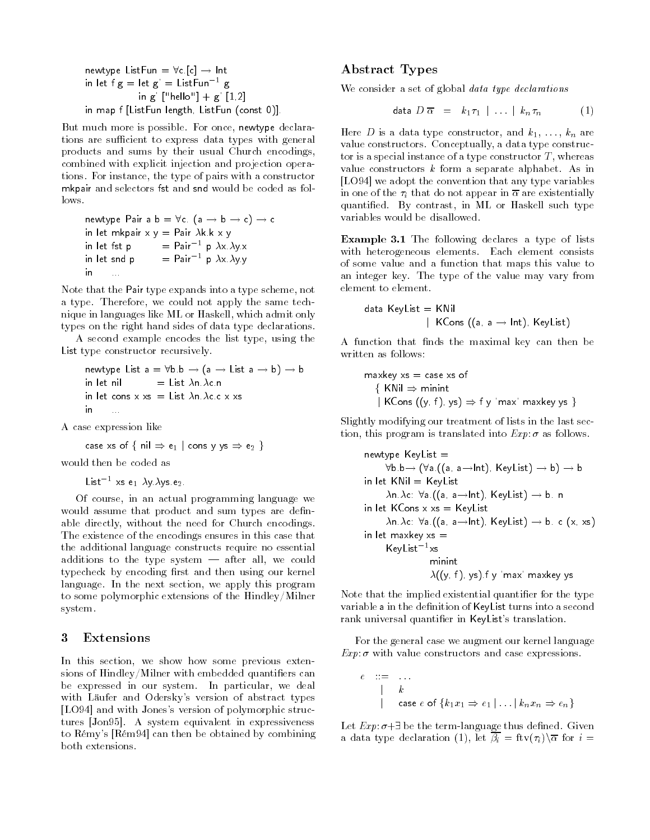```
newtype ListFun = \forallc.[c] \rightarrow Int\,in let f g = let g' = ListFun^{-1} gin g' ["hello"] + g' [1,2]
in map f [ListFun length, ListFun (const 0)].
```
But much more is possible. For once, newtype declarations are sufficient to express data types with general products and sums by their usual Church encodings, combined with explicit injection and projection operations. For instance, the type of pairs with a constructor mkpair and selectors fst and snd would be coded as follows.

newtype Pair a  $\mathsf{b} = \forall \mathsf{c}$  (a  $\rightarrow \mathsf{b} \rightarrow \mathsf{c}$ )  $\rightarrow \mathsf{c}$ in let mkpair x y = Pair k.k x y in let fst p  $=$  Pair $^{-1}$  p  $\lambda$ x. $\lambda$ v.x. in let snd p $=$  Pair<sup>-1</sup> p  $\lambda x \lambda y y$ in...

Note that the Pair type expands into a type scheme, not a type. Therefore, we could not apply the same technique in languages like ML or Haskell, which admit only types on the right hand sides of data type declarations.

A second example encodes the list type, using the List type constructor recursively.

```
newtype List a = \forallb b \rightarrow (a \rightarrow List a \rightarrow b) \rightarrow b
in let nil= List \lambdan. \lambdac.n.
in let cons \lambda \lambdas \mu List and actually \lambdain ...
```
A case expression like

case xs of { nil  $\Rightarrow$  e $_{1}$   $\mid$  cons y ys  $\Rightarrow$  e $_{2}$  }  $\qquad$ 

would then be coded as

List<sup>-1</sup> xs e<sub>1</sub>  $\lambda$ y  $\lambda$ ys.e<sub>2</sub>.

Of course, in an actual programming language we would assume that product and sum types are definable directly, without the need for Church encodings. The existence of the encodings ensures in this case that the additional language constructs require no essential additions to the type system  $-$  after all, we could typecheck by encoding first and then using our kernel language. In the next section, we apply this program to some polymorphic extensions of the Hindley/Milner system.

#### **Extensions** 3

In this section, we show how some previous extensions of Hindley/Milner with embedded quantifiers can be expressed in our system. In particular, we deal with Läufer and Odersky's version of abstract types [LO94] and with Jones's version of polymorphic structures [Jon95]. A system equivalent in expressiveness to Rémy's [Rém94] can then be obtained by combining both extensions.

### Abstract Types

We consider a set of global *data type declarations* 

$$
\det \mathbf{D} \overline{\alpha} = k_1 \tau_1 \mid \ldots \mid k_n \tau_n \tag{1}
$$

Here D is a data type constructor, and  $k_1, \ldots, k_n$  are value constructors. Conceptually, a data type constructor is a special instance of a type constructor  $T$ , whereas value constructors  $k$  form a separate alphabet. As in [LO94] we adopt the convention that any type variables in one of the  $\tau_i$  that do not appear in  $\overline{\alpha}$  are existentially quantified. By contrast, in ML or Haskell such type variables would be disallowed.

Example 3.1 The following declares a type of lists with heterogeneous elements. Each element consists of some value and a function that maps this value to an integer key. The type of the value may vary from element to element.

$$
\begin{array}{lcl} \textsf{data KeyList} & = & \textsf{KNil} \\ & | & \textsf{KCons ((a, a \rightarrow Int), KeyList)} \end{array}
$$

A function that finds the maximal key can then be written as follows:

$$
\begin{array}{l}\n\text{maxkey xs} = \text{case xs of} \\
\{\text{ KNil} \Rightarrow \text{minint} \\
|\text{ KCons } ((y, f), ys) \Rightarrow f y \text{ 'max'} \text{ maxkey ys}\}\n\end{array}
$$

Slightly modifying our treatment of lists in the last section, this program is translated into  $Exp \, \sigma$  as follows.

```
newtype KeyList =\forallb b\rightarrow (\foralla ((a, a\rightarrowInt), KeyList) \rightarrow b) \rightarrow b
in let KNi = KevList\lambdan.\lambdac: \foralla.((a, a - Int), KeyList) - b.n
in let KCons \times xs = KeyList\lambdan.\lambdac: \foralla.((a, a - Int), KeyList) \rightarrow b. c (x, xs)
in let maxkey xs =KeyList<sup>-1</sup>xs<br>minint
                    \lambda((y, f), ys). f y 'max' maxkey ys
```
Note that the implied existential quantifier for the type variable a in the definition of KeyList turns into a second rank universal quantifier in KeyList's translation.

For the general case we augment our kernel language  $Exp: \sigma$  with value constructors and case expressions.

$$
\begin{array}{c}\n\vdots \qquad \qquad \vdots \\
\downarrow \qquad k \\
\downarrow \qquad \text{case } e \text{ of } \{k_1 x_1 \Rightarrow e_1 \mid \ldots \mid k_n x_n \Rightarrow e_n\}\n\end{array}
$$

Let  $Exp: \sigma + \exists$  be the term-language thus defined. Given a data type declaration (1), let  $\overline{\beta_i} = \text{ftv}(\tau_i) \backslash \overline{\alpha}$  for  $i =$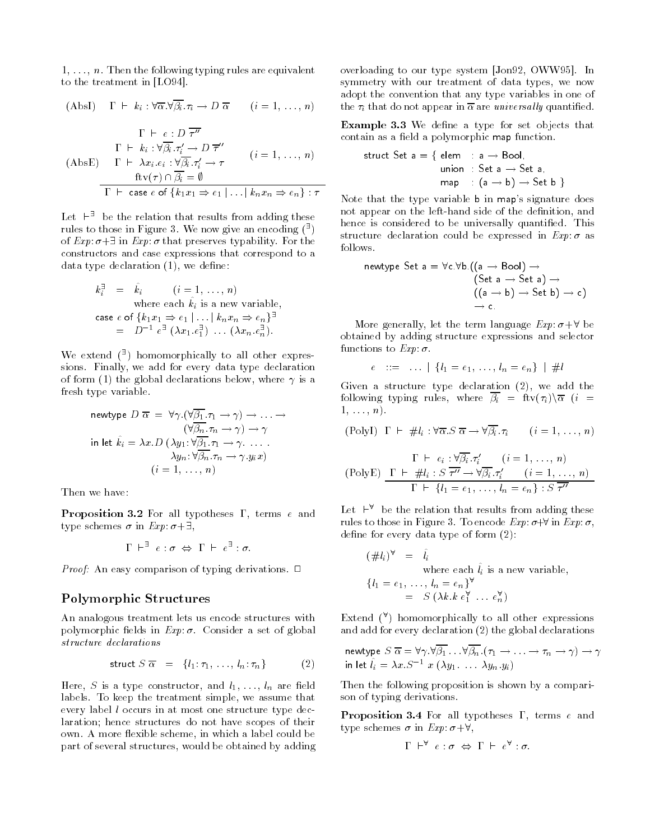$1, \ldots, n$ . Then the following typing rules are equivalent to the treatment in [LO94].

(AbsI) 
$$
\Gamma \vdash k_i : \forall \overline{\alpha}. \forall \overline{\beta_i}. \tau_i \to D \overline{\alpha}
$$
  $(i = 1, ..., n)$   
\n $\Gamma \vdash e : D \overline{\tau''}$   
\n $\Gamma \vdash k_i : \forall \overline{\beta_i}. \tau_i' \to D \overline{\tau''}$   
\n(AbsE)  $\Gamma \vdash \lambda x_i.e_i : \forall \overline{\beta_i}. \tau_i' \to \tau$   $(i = 1, ..., n)$   
\n $\frac{\text{ftv}(\tau) \cap \overline{\beta_i} = \emptyset}{\Gamma \vdash \text{case } e \text{ of } \{k_1 x_1 \Rightarrow e_1 \mid ... \mid k_n x_n \Rightarrow e_n\} : \tau}$ 

Let  $\vdash^{\exists}$  be the relation that results from adding these rules to those in Figure 3. We now give an encoding  $(\frac{3}{2})$ of  $Exp: \sigma + \exists$  in  $Exp: \sigma$  that preserves typability. For the constructors and case expressions that correspond to a data type declaration  $(1)$ , we define:

$$
k_i^{\exists} = \hat{k}_i \qquad (i = 1, \ldots, n)
$$
  
where each  $\hat{k}_i$  is a new variable,  
case *e* of  $\{k_1x_1 \Rightarrow e_1 | \ldots | k_nx_n \Rightarrow e_n\}^{\exists}$   

$$
= D^{-1} e^{\exists} (\lambda x_1 e_1^{\exists}) \ldots (\lambda x_n e_n^{\exists}) .
$$

We extend  $(3)$  homomorphically to all other expressions. Finally, we add for every data type declaration of form (1) the global declarations below, where  $\gamma$  is a fresh type variable.

$$
\begin{array}{rcl}\n\text{newtype } D \ \overline{\alpha} & = & \forall \gamma. (\forall \overline{\beta_1}. \tau_1 \to \gamma) \to \dots \to \\
& (\forall \overline{\beta_n}. \tau_n \to \gamma) \to \gamma \\
\text{in let } \hat{k}_i = \lambda x. D \ (\lambda y_1: \forall \overline{\beta_1}. \tau_1 \to \gamma. \dots. \\
& \lambda y_n: \forall \overline{\beta_n}. \tau_n \to \gamma. y_i x) \\
& (i = 1, \dots, n)\n\end{array}
$$

Then we have:

**Proposition 3.2** For all typotheses  $\Gamma$ , terms e and type schemes  $\sigma$  in  $Exp: \sigma + \exists$ ,

$$
\Gamma \ \vdash^{\exists} \ e : \sigma \ \Leftrightarrow \ \Gamma \ \vdash \ e^{\exists} : \sigma.
$$

Proof: An easy comparison of typing derivations. <sup>2</sup>

### Polymorphic Structures

An analogous treatment lets us encode structures with polymorphic fields in  $Exp: \sigma$ . Consider a set of global structure declarations

$$
\text{struct } S \overline{\alpha} = \{l_1: \tau_1, \ldots, l_n: \tau_n\} \tag{2}
$$

Here, S is a type constructor, and  $l_1, \ldots, l_n$  are field labels. To keep the treatment simple, we assume that every label <sup>l</sup> occurs in at most one structure type declaration; hence structures do not have scopes of their own. A more flexible scheme, in which a label could be part of several structures, would be obtained by adding overloading to our type system [Jon92, OWW95]. In symmetry with our treatment of data types, we now adopt the convention that any type variables in one of the  $\tau_i$  that do not appear in  $\overline{\alpha}$  are *universally* quantified.

Example 3.3 We define a type for set objects that contain as a field a polymorphic map function.

struct Set 
$$
a = \{ \text{ elem } : a \rightarrow \text{Bool} \}
$$

\nunion: Set  $a \rightarrow \text{Set } a$ 

\nmap:  $(a \rightarrow b) \rightarrow \text{Set } b$ 

Note that the type variable <sup>b</sup> in map's signature does not appear on the left-hand side of the definition, and hence is considered to be universally quantified. This structure declaration could be expressed in  $Exp: \sigma$  as follows.

$$
\begin{array}{l} \text{newtype Set a} = \forall c. \forall b. ((a \rightarrow \text{Bool}) \rightarrow \\ (\text{Set a} \rightarrow \text{Set a}) \rightarrow \\ ((a \rightarrow b) \rightarrow \text{Set b}) \rightarrow c) \\ \rightarrow c. \end{array}
$$

More generally, let the term language  $Exp: \sigma + \forall$  be obtained by adding structure expressions and selector<br>functions to  $Exp: \sigma$ .<br> $e$  ::= ...  $\{l_1 = e_1, ..., l_n = e_n\}$  | #l functions to  $Exp: \sigma$ .

$$
e \quad ::= \quad \ldots \mid \{l_1 = e_1, \ldots, l_n = e_n\} \mid \#l
$$

Given a structure type declaration (2), we add the following typing rules, where  $\overline{\beta_i} = \text{ftv}(\tau_i)\sqrt{\alpha}$  (i =  $1, \ldots, n$ ). i :  $\forall \overline{\alpha}.S \overline{\alpha} \rightarrow \forall \overline{\beta_i}.\tau_i$   $(i = 1, ..., n)$ 

$$
(PolyI) \Gamma \vdash #l_i : \forall \overline{\alpha}.S \overline{\alpha} \rightarrow \forall \overline{\beta_i}. \tau_i \qquad (i = 1, ..., n)
$$

$$
\Gamma \vdash e_i : \forall \overline{\beta_i} . \tau'_i \qquad (i = 1, ..., n)
$$
  
(PolyE) 
$$
\frac{\Gamma \vdash \#l_i : S \overline{\tau''} \to \forall \overline{\beta_i} . \tau'_i \qquad (i = 1, ..., n)}{\Gamma \vdash \{l_1 = e_1, ..., l_n = e_n\} : S \overline{\tau''}}
$$

Let  $\vdash^{\forall}$  be the relation that results from adding these rules to those in Figure 3. To encode  $Exp: \sigma + \forall$  in  $Exp: \sigma$ , define for every data type of form  $(2)$ :

$$
(\#l_i)^{\forall} = \hat{l}_i
$$
  
where each  $\hat{l}_i$  is a new variable,  

$$
\{l_1 = e_1, \dots, l_n = e_n\}^{\forall}
$$

$$
= S \ (\lambda k. k \ e_1^{\forall} \dots e_n^{\forall})
$$

Extend  $(\forall)$  homomorphically to all other expressions and add for every declaration (2) the global declarations

newtype 
$$
S \overline{\alpha} = \forall \gamma . \forall \overline{\beta_1} ... \forall \overline{\beta_n} . (\tau_1 \rightarrow ... \rightarrow \tau_n \rightarrow \gamma) \rightarrow \gamma
$$
  
in let  $\hat{l}_i = \lambda x . S^{-1} x (\lambda y_1 ... \lambda y_n . y_i)$ 

Then the following proposition is shown by a comparison of typing derivations.

**Proposition 3.4** For all typotheses  $\Gamma$ , terms e and type schemes  $\sigma$  in  $Exp: \sigma + \forall$ ,

$$
\Gamma \ \vdash^{\forall} \ e : \sigma \ \Leftrightarrow \ \Gamma \ \vdash \ e^{\forall} : \sigma
$$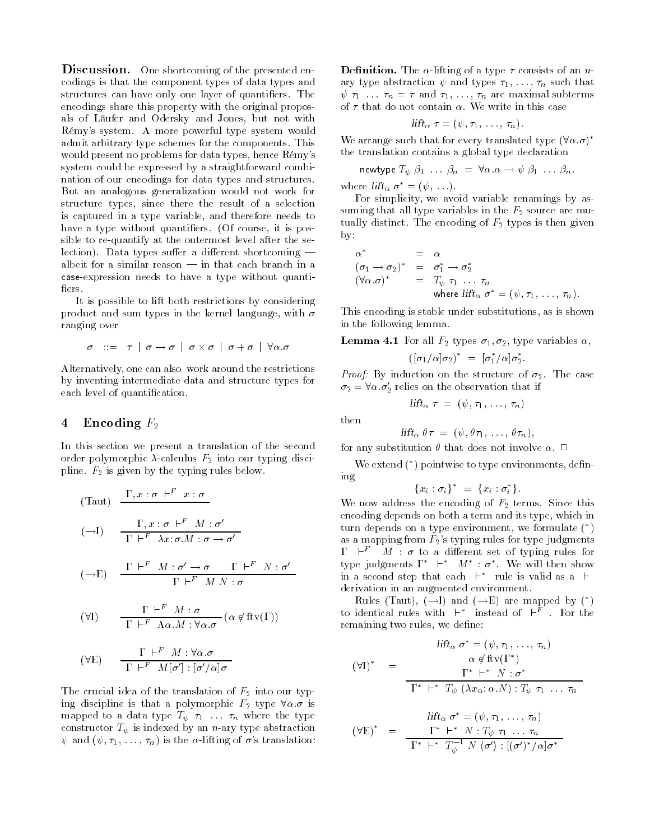Discussion. One shortcoming of the presented encodings is that the component types of data types and structures can have only one layer of quantifiers. The encodings share this property with the original proposals of Läufer and Odersky and Jones, but not with Rémy's system. A more powerful type system would admit arbitrary type schemes for the components. This would present no problems for data types, hence Rémy's system could be expressed by a straightforward combination of our encodings for data types and structures. But an analogous generalization would not work for structure types, since there the result of a selection is captured in a type variable, and therefore needs to have a type without quantifiers. (Of course, it is possible to re-quantify at the outermost level after the selection). Data types suffer a different shortcoming  $$ albeit for a similar reason  $\frac{1}{n}$  in that each branch in a case-expression needs to have a type without quantifiers.

It is possible to lift both restrictions by considering product and sum types in the kernel language, with  $\sigma$ ranging over  $\sigma$  |  $\sigma$  +  $\sigma$  |  $\forall \alpha$ . $\sigma$ 

$$
\sigma \quad ::= \quad \tau \; | \; \sigma \rightarrow \sigma \; | \; \sigma \times \sigma \; | \; \sigma + \sigma \; | \; \forall \alpha . \sigma
$$

Alternatively, one can also work around the restrictions by inventing intermediate data and structure types for each level of quantification.

### 4 Encoding  $F_2$

In this section we present a translation of the second order polymorphic  $\lambda$ -calculus  $F_2$  into our typing discipline.  $F_2$  is given by the typing rules below.

(Taut) 
$$
\frac{\Gamma, x : \sigma \vdash^{F} x : \sigma}{\Gamma \vdash^{F} \lambda x : \sigma M : \sigma'}
$$
  
\n
$$
(\rightarrow I) \qquad \frac{\Gamma, x : \sigma \vdash^{F} M : \sigma'}{\Gamma \vdash^{F} \lambda x : \sigma.M : \sigma \rightarrow \sigma'}
$$
  
\n
$$
(\rightarrow E) \qquad \frac{\Gamma \vdash^{F} M : \sigma' \rightarrow \sigma \qquad \Gamma \vdash^{F} N : \sigma'}{\Gamma \vdash^{F} M N : \sigma}
$$
  
\n
$$
(\forall I) \qquad \frac{\Gamma \vdash^{F} M : \sigma}{\Gamma \vdash^{F} \Lambda \alpha.M : \forall \alpha.\sigma} (\alpha \notin \text{ftv}(\Gamma))
$$

$$
(\forall E) \qquad \frac{\Gamma \vdash^{F'} M : \forall \alpha . \sigma}{\Gamma \vdash^{F} M[\sigma'] : [\sigma'/\alpha]\sigma}
$$

The crucial idea of the translation of  $F_2$  into our typing discipline is that a polymorphic  $F_2$  type  $\forall \alpha \cdot \sigma$  is mapped to a data type  $T_\psi \tau_1 \ldots \tau_n$  where the type constructor  $T_{\psi}$  is indexed by an *n*-ary type abstraction  $\psi$  and  $(\psi, \tau_1, \ldots, \tau_n)$  is the  $\alpha$ -lifting of  $\sigma$ 's translation:

**Definition.** The  $\alpha$ -lifting of a type  $\tau$  consists of an *n*ary type abstraction  $\psi$  and types  $\tau_1, \ldots, \tau_n$  such that  $\psi \tau_1 \ldots \tau_n = \tau$  and  $\tau_1, \ldots, \tau_n$  are maximal subterms of  $\tau$  that do not contain  $\alpha$ . We write in this case

$$
lift_{\alpha} \tau = (\psi, \tau_1, \ldots, \tau_n).
$$

We arrange such that for every translated type  $(\forall \alpha \cdot \sigma)^*$ the translation contains a global type declaration

newtype 
$$
T_{\psi} \beta_1 \ldots \beta_n = \forall \alpha . \alpha \rightarrow \psi \beta_1 \ldots \beta_n
$$
.

where  $lift_{\alpha} \ \sigma^* = (\psi, \ldots).$ 

For simplicity, we avoid variable renamings by assuming that all type variables in the  $F_2$  source are mutually distinct. The encoding of  $F_2$  types is then given by:

$$
\alpha^* = \alpha
$$
  
\n
$$
(\sigma_1 \to \sigma_2)^* = \sigma_1^* \to \sigma_2^*
$$
  
\n
$$
(\forall \alpha . \sigma)^* = T_{\psi} \tau_1 \dots \tau_n
$$
  
\nwhere  $\text{lift}_{\alpha} \sigma^* = (\psi, \tau_1, \dots, \tau_n)$ .

This encoding is stable under substitutions, as is shown in the following lemma.

**Lemma 4.1** For all  $F_2$  types  $\sigma_1, \sigma_2$ , type variables  $\alpha$ ,

$$
([\sigma_1/\alpha]\sigma_2)^* = [\sigma_1^*/\alpha]\sigma_2^*.
$$

Proof: By induction on the structure of 2. The case  $\sigma_2 = \forall \alpha \cdot \sigma_2'$  relies on the observation that if

$$
- \text{lift}_\alpha \, \, \tau \,\,=\,\, (\psi \, , \, \tau_1 \, , \, \, \ldots \, , \, \, \tau_n \, )
$$

then

 $lift_{\alpha} \theta \tau = (\psi, \theta \tau_1, \ldots, \theta \tau_n),$ 

for any substitution  $\theta$  that does not involve  $\alpha$ .  $\Box$ 

We extend (\*) pointwise to type environments, defining

$$
\{x_i : \sigma_i\}^* = \{x_i : \sigma_i^*\}.
$$

We now address the encoding of  $F_2$  terms. Since this encoding depends on both a term and its type, which in turn depends on a type environment, we formulate ( ) as a mapping from  $F_2$ 's typing rules for type judgments  $\Gamma$   $\vdash^F$  *M* :  $\sigma$  to a different set of typing rules for type judgments  $\Gamma^*$   $\vdash^*$   $M^*$  :  $\sigma^*$ . We will then show in a second step that each  $\vdash^*$  rule is valid as a  $\vdash$ derivation in an augmented environment.

Rules (Taut),  $(\rightarrow I)$  and  $(\rightarrow E)$  are mapped by (\*) to identical rules with  $\uparrow^*$  instead of  $\uparrow^F$  . For the remaining two rules, we define:

$$
\text{lift}_{\alpha} \ \sigma^* = (\psi, \tau_1, \dots, \tau_n)
$$
\n
$$
(\forall I)^* = \frac{\alpha \notin \text{ftv}(\Gamma^*)}{\Gamma^* \vdash^* N : \sigma^*}
$$
\n
$$
\frac{\Gamma^* \vdash^* N : \sigma^*}{\Gamma^* \vdash^* T_{\psi} (\lambda x_{\alpha} : \alpha.N) : T_{\psi} \tau_1 \dots \tau_n}
$$

$$
(\forall E)^* = \frac{\text{lift}_{\alpha} \sigma^* = (\psi, \tau_1, \dots, \tau_n)}{\Gamma^* \vdash^* N : T_{\psi} \tau_1 \dots \tau_n}
$$

$$
\frac{\Gamma^* \vdash^* N : T_{\psi} \tau_1 \dots \tau_n}{\Gamma^* \vdash^* T_{\psi}^{-1} N \langle \sigma' \rangle : [(\sigma')^* / \alpha] \sigma^*}
$$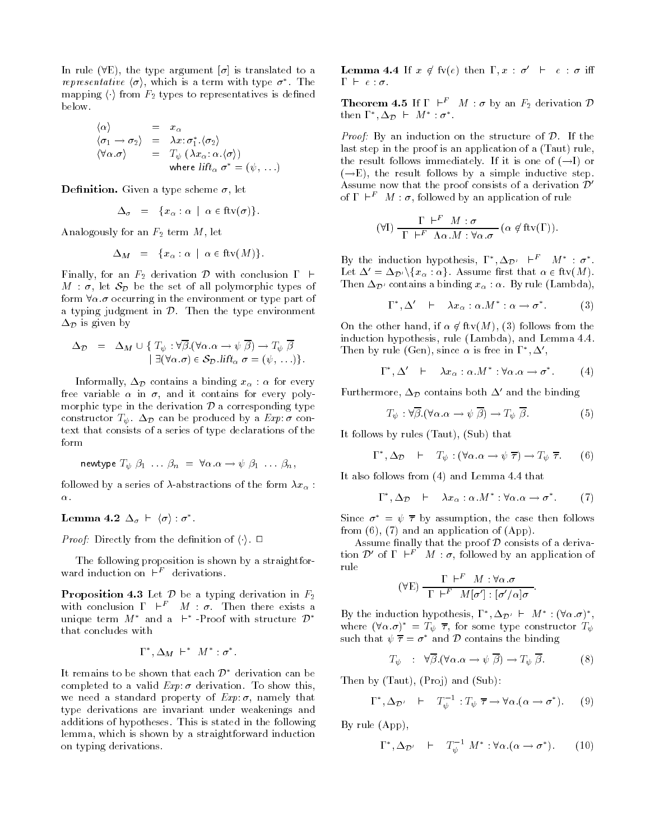In rule ( $\nabla$ E), the type argument  $[\sigma]$  is translated to a representative  $\langle \sigma \rangle$ , which is a term with type  $\sigma^*$ . The mapping  $\langle \cdot \rangle$  from  $F_2$  types to representatives is defined below.

$$
\begin{array}{rcl}\n\langle \alpha \rangle & = & x_{\alpha} \\
\langle \sigma_1 \to \sigma_2 \rangle & = & \lambda x \colon \sigma_1^* \cdot \langle \sigma_2 \rangle \\
\langle \forall \alpha \cdot \sigma \rangle & = & T_{\psi} \left( \lambda x_{\alpha} \colon \alpha \cdot \langle \sigma \rangle \right) \\
& \text{where } \text{lift}_{\alpha} \ \sigma^* = (\psi, \ \ldots)\n\end{array}
$$

**Definition.** Given a type scheme  $\sigma$ , let

$$
\Delta_{\sigma} = \{x_{\alpha} : \alpha \mid \alpha \in \text{ftv}(\sigma)\}.
$$

Analogously for an  $F_2$  term  $M$ , let

$$
\Delta_M = \{x_\alpha : \alpha \mid \alpha \in \text{ftv}(M)\}.
$$

Finally, for an  $F_2$  derivation  $\mathcal D$  with conclusion  $\Gamma \vdash$  $M : \sigma$ , let  $S_{\mathcal{D}}$  be the set of all polymorphic types of form  $\forall \alpha$   $\sigma$  occurring in the environment or type part of a typing judgment in  $D$ . Then the type environment  $\Delta p$  is given by b is given by<br>  $\Delta_{\mathcal{D}} = \Delta_M \cup \{ T_{\psi} : \forall \overline{\beta}. (\forall \alpha . \alpha \to \psi \ \overline{\beta}) \to T_{\psi} \ \overline{\beta}$ 

$$
\Delta_{\mathcal{D}} = \Delta_M \cup \{ T_{\psi} : \forall \overline{\beta}. (\forall \alpha . \alpha \to \psi \ \overline{\beta}) \to T_{\psi} \ \overline{\beta} \\ \exists (\forall \alpha . \sigma) \in \mathcal{S}_{\mathcal{D}}. \text{lift}_{\alpha} \ \sigma = (\psi, \dots) \}.
$$

Informally,  $\Delta_{\mathcal{D}}$  contains a binding  $x_{\alpha}$  :  $\alpha$  for every free variable  $\alpha$  in  $\sigma$ , and it contains for every polymorphic type in the derivation  $D$  a corresponding type constructor  $T_{\psi}$ .  $\Delta_{\mathcal{D}}$  can be produced by a  $Exp: \sigma$  context that consists of a series of type declarations of the form

newtype 
$$
T_{\psi} \beta_1 \dots \beta_n = \forall \alpha . \alpha \rightarrow \psi \beta_1 \dots \beta_n
$$
,

followed by a series of  $\lambda$ -abstractions of the form  $\lambda x_{\alpha}$ :  $\alpha$  .  $\alpha$ .<br>Lemma 4.2  $\Delta_{\sigma}$   $\vdash$   $\langle \sigma \rangle$  :  $\sigma^*$ .

*Proof:* Directly from the definition of  $\langle \cdot \rangle$ .  $\Box$ 

The following proposition is shown by a straightfor ward induction on  $\vdash^F$  derivations.

**Proposition 4.3** Let  $\mathcal{D}$  be a typing derivation in  $F_2$ with conclusion  $\Gamma + F$   $M : \sigma$ . Then there exists a unique term  $M^*$  and a  $\vdash^*$ -Proof with structure  $\mathcal{D}^*$ that concludes with

$$
\Gamma^*, \Delta_M \vdash^* M^* : \sigma^*.
$$

It remains to be shown that each  $\mathcal{D}^*$  derivation can be completed to a valid  $Exp: \sigma$  derivation. To show this, we need a standard property of  $Exp: \sigma$ , namely that type derivations are invariant under weakenings and additions of hypotheses. This is stated in the following lemma, which is shown by a straightforward induction on typing derivations.

**Lemma 4.4** If  $x \notin f_v(e)$  then  $\Gamma, x : \sigma' \vdash e : \sigma$  iff  $\Gamma$   $\vdash$   $e : \sigma$ .

**Theorem 4.5** If  $\Gamma$   $\vdash^F M$  :  $\sigma$  by an  $F_2$  derivation  $\mathcal{D}$ then  $\Gamma^*, \Delta_{\mathcal{D}} \vdash M^* : \sigma^*.$ 

*Proof:* By an induction on the structure of  $\mathcal{D}$ . If the last step in the proof is an application of a (Taut) rule, the result follows immediately. If it is one of  $(-I)$  or  $(\rightarrow E)$ , the result follows by a simple inductive step. Assume now that the proof consists of a derivation  $\mathcal{D}'$ of  $\Gamma$   $\vdash^F M : \sigma$ , followed by an application of rule

$$
(\forall I) \frac{\Gamma \vdash^F M : \sigma}{\Gamma \vdash^F \Lambda \alpha.M : \forall \alpha.\sigma} (\alpha \notin \text{ftv}(\Gamma)).
$$

By the induction hypothesis,  $\Gamma^*, \Delta_{\mathcal{D}'} \vdash^F M^* : \sigma^*$ . Let  $\Delta' = \Delta_{\mathcal{D}'} \setminus \{x_\alpha : \alpha\}$ . Assume first that  $\alpha \in \text{ftv}(M)$ . Then  $\Delta_{\mathcal{D}'}$  contains a binding  $x_{\alpha} : \alpha$ . By rule (Lambda),

$$
\Gamma^*, \Delta' \quad \vdash \quad \lambda x_\alpha : \alpha.M^* : \alpha \to \sigma^*.
$$
 (3)

On the other hand, if  $\alpha \notin \text{ftv}(M)$ , (3) follows from the induction hypothesis, rule (Lambda), and Lemma 4.4. Then by rule (Gen), since  $\alpha$  is free in  $\Gamma^*,\Delta',\ldots$ 

$$
\Gamma^*, \Delta' \vdash \lambda x_{\alpha} : \alpha.M^* : \forall \alpha.\alpha \to \sigma^*.
$$
 (4)

Furthermore,  $\Delta_{\mathcal{D}}$  contains both  $\Delta'$  and the binding

$$
T_{\psi} : \forall \overline{\beta}. (\forall \alpha . \alpha \to \psi \ \overline{\beta}) \to T_{\psi} \ \overline{\beta}.
$$
 (5)

It follows by rules (Taut), (Sub) that

$$
\Gamma^*, \Delta_{\mathcal{D}} \vdash T_{\psi} : (\forall \alpha . \alpha \to \psi \ \overline{\tau}) \to T_{\psi} \ \overline{\tau}. \tag{6}
$$

It also follows from (4) and Lemma 4.4 that

$$
\Gamma^*, \Delta_{\mathcal{D}} \quad \vdash \quad \lambda x_{\alpha} : \alpha.M^* : \forall \alpha . \alpha \to \sigma^*.
$$
 (7)

Since  $\sigma^* = \psi \overline{\tau}$  by assumption, the case then follows from  $(6)$ ,  $(7)$  and an application of  $(App)$ .

Assume finally that the proof  $\mathcal D$  consists of a derivation  $\mathcal{D}'$  of  $\Gamma$   $\vdash^F M : \sigma$ , followed by an application of rule

$$
(\forall E) \frac{\Gamma \vdash^F M : \forall \alpha . \sigma}{\Gamma \vdash^F M[\sigma'] : [\sigma'/\alpha]\sigma}.
$$

By the induction hypothesis,  $\Gamma^*, \Delta_{\mathcal{D}'} \vdash M^* : (\forall \alpha . \sigma)^*,$ where  $(\forall \alpha.\sigma)^* = T_{\psi} \overline{\tau}$ , for some type constructor  $T_{\psi}$ such that  $\psi \overline{\tau} = \sigma^*$  and  $\mathcal D$  contains the binding

$$
T_{\psi} : \ \ \forall \overline{\beta}. (\forall \alpha . \alpha \to \psi \ \overline{\beta}) \to T_{\psi} \ \overline{\beta}. \tag{8}
$$

Then by (Taut), (Projection by (Sub): (Projection by (Sub): (Projection by (Sub): (Sub): (Sub): (Sub): (Sub): (Sub): (Sub): (Sub): (Sub): (Sub): (Sub): (Sub): (Sub): (Sub): (Sub): (Sub): (Sub): (Sub): (Sub): (Sub): (Sub):

by (Taut), (Proj) and (Sub):  
\n
$$
\Gamma^*, \Delta_{\mathcal{D}'} \vdash T_{\psi}^{-1} : T_{\psi} \overline{\tau} \to \forall \alpha . (\alpha \to \sigma^*).
$$
 (9)

By rule (App),

$$
\Gamma^*, \Delta_{\mathcal{D}'} \quad \vdash \quad T_{\psi}^{-1} M^* : \forall \alpha . (\alpha \to \sigma^*). \tag{10}
$$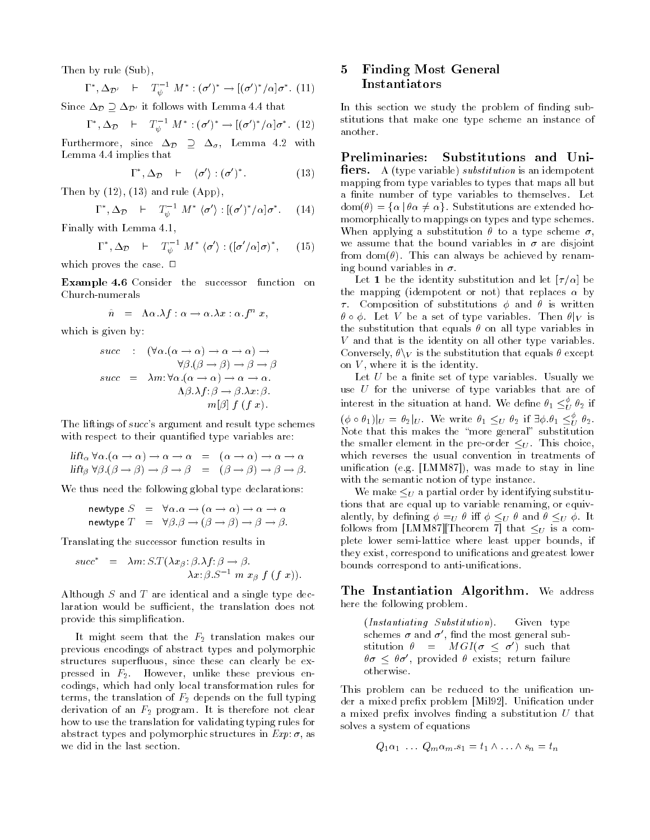Then by rule (Sub),

$$
\Gamma^*, \Delta_{\mathcal{D}'} \quad \vdash \quad T_{\psi}^{-1} M^* : (\sigma')^* \to [(\sigma')^*/\alpha] \sigma^* . \tag{11}
$$

Since  $\Delta_{\mathcal{D}} \supseteq \Delta_{\mathcal{D}'}$  it follows with Lemma 4.4 that

$$
\Gamma^*, \Delta_{\mathcal{D}} \quad \vdash \quad T_{\psi}^{-1} M^* : (\sigma')^* \to [(\sigma')^*/\alpha] \sigma^* . \tag{12}
$$

Furthermore, since  $\Delta_{\mathcal{D}} \supseteq \Delta_{\sigma}$ , Lemma 4.2 with Lemma 4.4 implies that

$$
\Gamma^*, \Delta_{\mathcal{D}} \quad \vdash \quad \langle \sigma' \rangle : (\sigma')^*.
$$
 (13)

Then by  $(12)$ ,  $(13)$  and rule  $(App)$ ,

$$
\Gamma^*, \Delta_{\mathcal{D}} \quad \vdash \quad T_{\psi}^{-1} M^* \langle \sigma' \rangle : [(\sigma')^*/\alpha] \sigma^* . \tag{14}
$$

Finally with Lemma 4.1,

$$
\Gamma^*, \Delta_{\mathcal{D}} \quad \vdash \quad T_{\psi}^{-1} M^* \langle \sigma' \rangle : ([\sigma'/\alpha]\sigma)^*, \qquad (15)
$$

which proves the case.  $\Box$ 

Example 4.6 Consider the successor function on Church-numerals

$$
\hat{n} = \Lambda \alpha . \lambda f : \alpha \to \alpha . \lambda x : \alpha . f^n x,
$$

which is given by:

$$
succ : (\forall \alpha . (\alpha \to \alpha) \to \alpha \to \alpha) \to \n\forall \beta . (\beta \to \beta) \to \beta \to \beta\nsucc = \lambda m : \forall \alpha . (\alpha \to \alpha) \to \alpha \to \alpha.\n\Lambda \beta . \lambda f : \beta \to \beta . \lambda x : \beta.\n m[\beta] f(f x).
$$

The liftings of succ's argument and result type schemes with respect to their quantified type variables are:

$$
\begin{array}{rcl}\n\text{lift}_{\alpha} \ \forall \alpha . (\alpha \to \alpha) \to \alpha \to \alpha & = & (\alpha \to \alpha) \to \alpha \to \alpha \\
\text{lift}_{\beta} \ \forall \beta . (\beta \to \beta) \to \beta \to \beta & = & (\beta \to \beta) \to \beta \to \beta.\n\end{array}
$$

We thus need the following global type declarations:

$$
\begin{array}{rcl}\n\text{newtype } S & = & \forall \alpha \ldotp \alpha \to (\alpha \to \alpha) \to \alpha \to \alpha \\
\text{newtype } T & = & \forall \beta \ldotp \beta \to (\beta \to \beta) \to \beta \to \beta.\n\end{array}
$$

Translating the successor function results in

$$
succ^* = \lambda m: S.T(\lambda x_{\beta}: \beta.\lambda f: \beta \to \beta.
$$
  

$$
\lambda x: \beta.S^{-1} m x_{\beta} f(f x)).
$$

Although <sup>S</sup> and <sup>T</sup> are identical and a single type declaration would be sufficient, the translation does not provide this simplication.

It might seem that the  $F_2$  translation makes our previous encodings of abstract types and polymorphic structures superfluous, since these can clearly be expressed in  $F_2$ . However, unlike these previous encodings, which had only local transformation rules for terms, the translation of  $F_2$  depends on the full typing derivation of an  $F_2$  program. It is therefore not clear how to use the translation for validating typing rules for abstract types and polymorphic structures in  $Exp: \sigma$ , as we did in the last section.

### 5 Finding Most General 5 Instantiators

In this section we study the problem of finding substitutions that make one type scheme an instance of another.

Preliminaries: Substitutions and Uni **fiers.** A (type variable) *substitution* is an idempotent mapping from type variables to types that maps all but a finite number of type variables to themselves. Let  $dom(\theta) = {\alpha | \theta \alpha \neq \alpha}$ . Substitutions are extended homomorphically to mappings on types and type schemes. When applying a substitution  $\theta$  to a type scheme  $\sigma$ , we assume that the bound variables in  $\sigma$  are disjoint from dom( $\theta$ ). This can always be achieved by renaming bound variables in  $\sigma$ .

Let 1 be the identity substitution and let  $[\tau/\alpha]$  be the mapping (idempotent or not) that replaces  $\alpha$  by  $\tau$ . Composition of substitutions  $\phi$  and  $\theta$  is written  $\theta \circ \phi$ . Let V be a set of type variables. Then  $\theta|_V$  is the substitution that equals  $\theta$  on all type variables in <sup>V</sup> and that is the identity on all other type variables. Conversely,  $\theta \setminus v$  is the substitution that equals  $\theta$  except on  $V$ , where it is the identity.

Let  $U$  be a finite set of type variables. Usually we use  $U$  for the universe of type variables that are of interest in the situation at hand. We define  $\theta_1 \leq^{\varphi}_U \theta_2$  if  $(\phi \circ \theta_1)|_U = \theta_2|_U$ . We write  $\theta_1 \leq_U \theta_2$  if  $\exists \phi \ldotp \theta_1 \leq_U^{\phi} \theta_2$ . Note that this makes the "more general" substitution the smaller element in the pre-order  $\leq_U$ . This choice, which reverses the usual convention in treatments of unification (e.g. [LMM87]), was made to stay in line with the semantic notion of type instance.

We make  $\leq_U$  a partial order by identifying substitutions that are equal up to variable renaming, or equivalently, by defining  $\phi =_U \theta$  iff  $\phi \leq_U \theta$  and  $\theta \leq_U \phi$ . It follows from [LMM87] [Theorem 7] that  $\leq_U$  is a complete lower semi-lattice where least upper bounds, if they exist, correspond to unifications and greatest lower bounds correspond to anti-unifications.

The Instantiation Algorithm. We address here the following problem.

(Instantiating Substitution). Given type schemes  $\sigma$  and  $\sigma'$ , find the most general substitution  $\theta = MGI(\sigma \leq \sigma')$  such that  $\theta\sigma \leq \theta\sigma'$ , provided  $\theta$  exists; return failure otherwise.

This problem can be reduced to the unification under a mixed prefix problem [Mil92]. Unification under a mixed prefix involves finding a substitution  $U$  that solves a system of equations

$$
Q_1 \alpha_1 \ldots Q_m \alpha_m . s_1 = t_1 \wedge \ldots \wedge s_n = t_n
$$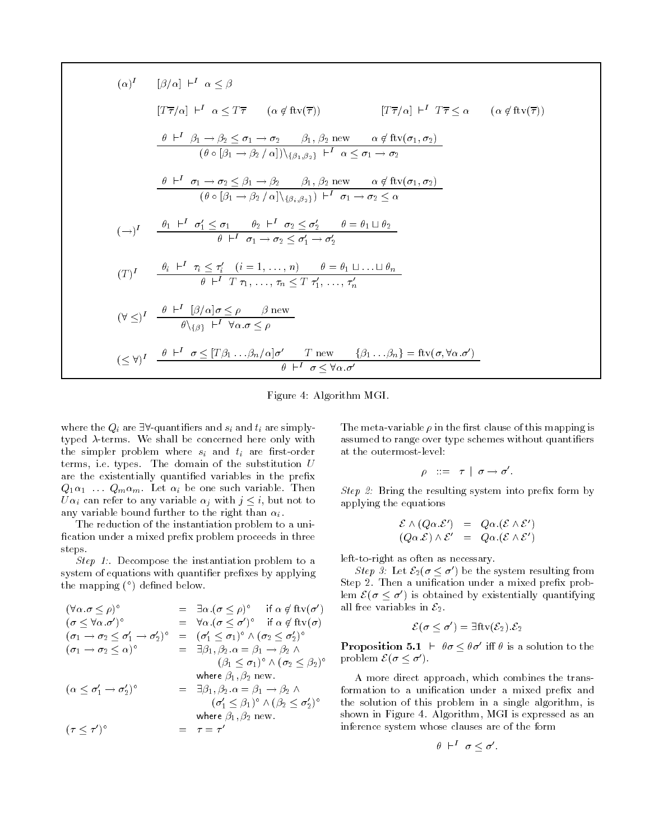$$
(\alpha)^{I} \qquad [\beta/\alpha] \vdash^{I} \alpha \leq \beta
$$
\n
$$
[T\overline{\tau}/\alpha] \vdash^{I} \alpha \leq T\overline{\tau} \qquad (\alpha \notin \text{ftv}(\overline{\tau})) \qquad [T\overline{\tau}/\alpha] \vdash^{I} T\overline{\tau} \leq \alpha \qquad (\alpha \notin \text{ftv}(\overline{\tau}))
$$
\n
$$
\frac{\theta \vdash^{I} \beta_{1} \rightarrow \beta_{2} \leq \sigma_{1} \rightarrow \sigma_{2} \qquad \beta_{1}, \beta_{2} \text{ new} \qquad \alpha \notin \text{ftv}(\sigma_{1}, \sigma_{2})}{(\theta \circ [\beta_{1} \rightarrow \beta_{2}/\alpha]) \setminus {\beta_{1}, \beta_{2}} \vdash^{I} \alpha \leq \sigma_{1} \rightarrow \sigma_{2}}
$$
\n
$$
\frac{\theta \vdash^{I} \sigma_{1} \rightarrow \sigma_{2} \leq \beta_{1} \rightarrow \beta_{2} \qquad \beta_{1}, \beta_{2} \text{ new} \qquad \alpha \notin \text{ftv}(\sigma_{1}, \sigma_{2})}{(\theta \circ [\beta_{1} \rightarrow \beta_{2}/\alpha] \setminus {\beta_{1}, \beta_{2}}) \vdash^{I} \sigma_{1} \rightarrow \sigma_{2} \leq \alpha}
$$
\n
$$
(\rightarrow)^{I} \qquad \frac{\theta_{1} \vdash^{I} \sigma_{1}' \leq \sigma_{1} \qquad \theta_{2} \vdash^{I} \sigma_{2} \leq \sigma_{2}' \qquad \theta = \theta_{1} \sqcup \theta_{2}}{\theta \vdash^{I} \sigma_{1} \rightarrow \sigma_{2} \leq \sigma_{1}' \rightarrow \sigma_{2}'}
$$
\n
$$
(T)^{I} \qquad \frac{\theta_{i} \vdash^{I} \tau_{i} \leq \tau_{i}' \quad (i = 1, \dots, n) \qquad \theta = \theta_{1} \sqcup \dots \sqcup \theta_{n}}{\theta \vdash^{I} T \tau_{1}, \dots, \tau_{n} \leq T \tau_{1}', \dots, \tau_{n}'}
$$
\n
$$
(\forall \leq)^{I} \qquad \frac{\theta \vdash^{I} [\beta/\alpha] \sigma \leq \rho \qquad \beta \text{ new}}{\theta \setminus {\beta_{1}} \vdash^{I} \forall \alpha \cdot \sigma \leq \rho}
$$
\n<math display="</math>

Figure 4: Algorithm MGI.

where the  $Q_i$  are  $\exists \forall$ -quantifiers and  $s_i$  and  $t_i$  are simplytyped  $\lambda$ -terms. We shall be concerned here only with the simpler problem where  $s_i$  and  $t_i$  are first-order terms, i.e. types. The domain of the substitution  $U$ are the existentially quantified variables in the prefix  $Q_1\alpha_1 \ldots Q_m\alpha_m$ . Let  $\alpha_i$  be one such variable. Then  $U\alpha_i$  can refer to any variable  $\alpha_i$  with  $j \leq i$ , but not to any variable bound further to the right than  $\alpha_i$ .

The reduction of the instantiation problem to a uni fication under a mixed prefix problem proceeds in three steps.

Step 1:. Decompose the instantiation problem to a system of equations with quantifier prefixes by applying the mapping  $(°)$  defined below.

$$
(\forall \alpha \ldotp \sigma \leq \rho)^{\circ} = \exists \alpha \ldotp (\sigma \leq \rho)^{\circ} \text{ if } \alpha \notin \text{ftv}(\sigma')
$$
  
\n
$$
(\sigma \leq \forall \alpha \ldotp \sigma')^{\circ} = \forall \alpha \ldotp (\sigma \leq \sigma')^{\circ} \text{ if } \alpha \notin \text{ftv}(\sigma)
$$
  
\n
$$
(\sigma_1 \rightarrow \sigma_2 \leq \sigma'_1 \rightarrow \sigma'_2)^{\circ} = (\sigma'_1 \leq \sigma_1)^{\circ} \land (\sigma_2 \leq \sigma'_2)^{\circ}
$$
  
\n
$$
(\sigma_1 \rightarrow \sigma_2 \leq \alpha)^{\circ} = \exists \beta_1, \beta_2 \ldotp \alpha = \beta_1 \rightarrow \beta_2 \land
$$
  
\n
$$
(\beta_1 \leq \sigma_1)^{\circ} \land (\sigma_2 \leq \beta_2)^{\circ}
$$
  
\nwhere  $\beta_1, \beta_2$  new.  
\n
$$
(\alpha \leq \sigma'_1 \rightarrow \sigma'_2)^{\circ} = \exists \beta_1, \beta_2 \ldotp \alpha = \beta_1 \rightarrow \beta_2 \land
$$
  
\n
$$
(\sigma'_1 \leq \beta_1)^{\circ} \land (\beta_2 \leq \sigma'_2)^{\circ}
$$
  
\nwhere  $\beta_1, \beta_2$  new.  
\n
$$
(\tau \leq \tau')^{\circ} = \tau = \tau'
$$

The meta-variable  $\rho$  in the first clause of this mapping is assumed to range over type schemes without quantifiers at the outermost-level:

$$
\rho \quad ::= \quad \tau \ \mid \ \sigma \rightarrow \sigma'.
$$

 $\beta$   $\mu$   $\beta$ . Bring the resulting system into preha form by applying the extension of the extension of the extension of the extension of the extension of the extension of  $\frac{6}{\sqrt{2}}$ 

$$
\mathcal{E} \wedge (Q\alpha.\mathcal{E}') = Q\alpha.(\mathcal{E} \wedge \mathcal{E}')
$$
  

$$
(Q\alpha.\mathcal{E}) \wedge \mathcal{E}' = Q\alpha.(\mathcal{E} \wedge \mathcal{E}')
$$

left-to-right as often as necessary.

Step 3: Let  $\mathcal{E}_2(\sigma \leq \sigma')$  be the system resulting from Step 2. Then a unification under a mixed prefix problem  $\mathcal{E}(\sigma \leq \sigma')$  is obtained by existentially quantifying all free variables in  $\mathcal{E}_2$ .

$$
\mathcal{E}(\sigma \leq \sigma') = \exists \mathrm{ftv}(\mathcal{E}_2).\mathcal{E}_2
$$

**Proposition 5.1**  $\vdash \theta \sigma \leq \theta \sigma'$  iff  $\theta$  is a solution to the problem  $\mathcal{E}(\sigma \leq \sigma')$ .

A more direct approach, which combines the transformation to a unification under a mixed prefix and the solution of this problem in a single algorithm, is shown in Figure 4. Algorithm, MGI is expressed as an inference system whose clauses are of the form

$$
\theta \ \vdash^I \ \sigma < \sigma'.
$$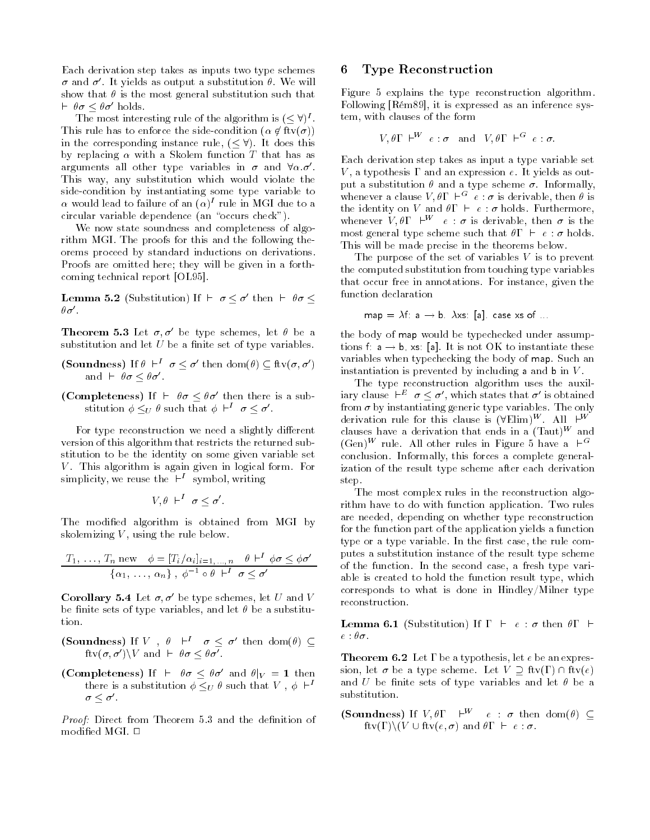Each derivation step takes as inputs two type schemes  $\sigma$  and  $\sigma'$ . It yields as output a substitution  $\theta$ . We will show that  $\theta$  is the most general substitution such that  $\vdash \theta \sigma < \theta \sigma'$  holds. we that  $\theta$  is the most general substitution such that  $\theta \sigma \leq \theta \sigma'$  holds.<br>The most interesting rule of the algorithm is  $( $\forall$ )<sup>I</sup>$ .

This rule has to enforce the side-condition  $(\alpha \notin \text{ftv}(\sigma))$ The most interesting rule of the algorithm is  $(\leq \forall)^I$ .<br>This rule has to enforce the side-condition  $(\alpha \notin \text{ftv}(\sigma))$ <br>in the corresponding instance rule,  $(\leq \forall)$ . It does this by replacing  $\alpha$  with a Skolem function T that has as arguments all other type variables in  $\sigma$  and  $\forall \alpha \cdot \sigma'$ . This way, any substitution which would violate the side-condition by instantiating some type variable to  $\alpha$  would lead to failure of an  $(\alpha)^\ast$  rule in MGI due to a circular variable dependence (an "occurs check").

We now state soundness and completeness of algorithm MGI. The proofs for this and the following theorems proceed by standard inductions on derivations. Proofs are omitted here; they will be given in a forthcoming technical report [OL95].

**Lemma 5.2** (Substitution) If  $\vdash \sigma \lt \sigma'$  then  $\vdash \theta \sigma \lt \tau'$  $\theta\sigma'$ .

**Theorem 5.3** Let  $\sigma$ ,  $\sigma'$  be type schemes, let  $\theta$  be a substitution and let  $U$  be a finite set of type variables.

- (Soundness) If  $\theta \vdash^I \sigma \leq \sigma'$  then  $dom(\theta) \subseteq \text{ftv}(\sigma, \sigma')$ and  $\vdash \theta \sigma \leq \theta \sigma'$ .
- (Completeness) If  $\vdash \theta \sigma \leq \theta \sigma'$  then there is a substitution  $\phi \leq_U \theta$  such that  $\phi \vdash^I \sigma \leq \sigma'$ .

For type reconstruction we need a slightly different version of this algorithm that restricts the returned substitution to be the identity on some given variable set  $V$ . This algorithm is again given in logical form. For simplicity, we reuse the  $\vdash^{I}$  symbol, writing

$$
V, \theta \vdash^I \sigma \leq \sigma'.
$$

The modified algorithm is obtained from MGI by skolemizing  $V$ , using the rule below.

$$
\frac{T_1, \ldots, T_n \text{ new } \phi = [T_i/\alpha_i]_{i=1,\ldots,n} \quad \theta \vdash^I \phi \sigma \leq \phi \sigma'}{\{\alpha_1, \ldots, \alpha_n\}, \phi^{-1} \circ \theta \vdash^I \sigma \leq \sigma'}
$$

**Corollary 5.4** Let  $\sigma$ ,  $\sigma'$  be type schemes, let U and V be finite sets of type variables, and let  $\theta$  be a substitution.

(Soundness) If V,  $\theta$   $\vdash^1$   $\sigma < \sigma'$  then dom( $\theta$ )  $\subset$ fty $(\sigma, \sigma') \backslash V$  and  $\vdash \theta \sigma \leq \theta \sigma'$ .

(Completeness) If  $\vdash \theta \sigma \leq \theta \sigma'$  and  $\theta|_{V} = 1$  then there is a substitution  $\phi \leq_U \theta$  such that V,  $\phi \vdash^I$  $\sigma<\sigma'$ .

Proof: Direct from Theorem 5.3 and the denition of modified MGI.  $\Box$ 

### 6 Type Reconstruction

Figure 5 explains the type reconstruction algorithm. Following [Rém89], it is expressed as an inference system, with clauses of the form

$$
V, \theta \Gamma \vdash^W e : \sigma
$$
 and  $V, \theta \Gamma \vdash^G e : \sigma$ .

Each derivation step takes as input a type variable set V, a typothesis  $\Gamma$  and an expression e. It yields as output a substitution  $\theta$  and a type scheme  $\sigma$ . Informally, whenever a clause  $V, \theta \Gamma \vdash^{G} \ e : \sigma$  is derivable, then  $\theta$  is the identity on V and  $\theta \Gamma$   $\vdash e : \sigma$  holds. Furthermore, whenever  $V, \theta \Gamma$   $\vdash^W$  e :  $\sigma$  is derivable, then  $\sigma$  is the most general type scheme such that  $\theta \Gamma \vdash e : \sigma$  holds. This will be made precise in the theorems below.

The purpose of the set of variables  $V$  is to prevent the computed substitution from touching type variables that occur free in annotations. For instance, given the function declaration

$$
map = \lambda f \quad a \to b \quad \lambda xs \quad [a] \quad \text{case xs of} \quad \dots
$$

the body of map would be typechecked under assumptions f:  $a \rightarrow b$ , xs: [a]. It is not OK to instantiate these variables when typechecking the body of map. Such an instantiation is prevented by including a and  $\mathbf b$  in  $V$ .

The type reconstruction algorithm uses the auxiliary clause  $\vdash^E \sigma \leq \sigma'$ , which states that  $\sigma'$  is obtained from  $\sigma$  by instantiating generic type variables. The only derivation rule for this clause is  $(\forall$ Elim)<sup>W</sup>. All  $\vdash^W$ clauses have a derivation that ends in a  $(Taut)^W$  and  $(\text{Gen})^W$  rule. All other rules in Figure 5 have a  $\vdash^G$ conclusion. Informally, this forces a complete generalization of the result type scheme after each derivation step.

The most complex rules in the reconstruction algorithm have to do with function application. Two rules are needed, depending on whether type reconstruction for the function part of the application yields a function type or a type variable. In the first case, the rule computes a substitution instance of the result type scheme of the function. In the second case, a fresh type variable is created to hold the function result type, which corresponds to what is done in Hindley/Milner type reconstruction.

**Lemma 6.1** (Substitution) If  $\Gamma$   $\vdash$   $e : \sigma$  then  $\theta \Gamma$   $\vdash$  $e$  :  $\theta\sigma$  .

**Theorem 6.2** Let  $\Gamma$  be a typothesis, let e be an expression, let  $\sigma$  be a type scheme. Let  $V \supseteq \text{ftv}(\Gamma) \cap \text{ftv}(e)$ and U be finite sets of type variables and let  $\theta$  be a substitution.

(Soundness) If  $V, \theta \Gamma \vdash^{W} e : \sigma$  then dom( $\theta$ )  $\subset$  $ftv(\Gamma)\backslash (V \cup ftv(e,\sigma) \text{ and } \theta \Gamma \vdash e:\sigma.$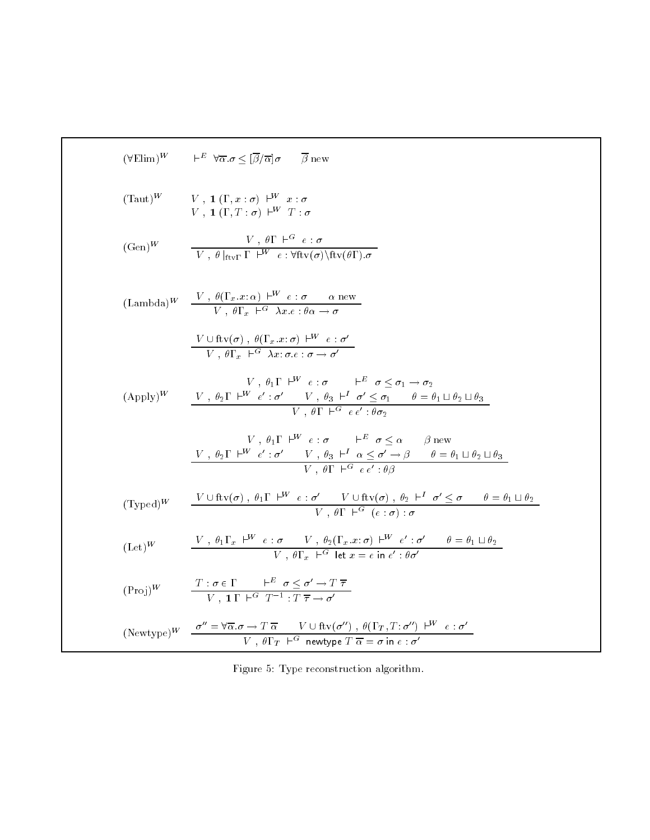$$
(\forall \text{Elim})^{W} \qquad \vdash^{E} \forall \overline{\alpha}.\sigma \leq [\overline{\beta}/\overline{\alpha}] \sigma \qquad \overline{\beta} \text{ new}
$$
\n
$$
(\text{Taut})^{W} \qquad V, 1 (\Gamma, x : \sigma) \vdash^{W} x : \sigma
$$
\n
$$
V, 1 (\Gamma, T : \sigma) \vdash^{W} T : \sigma
$$
\n
$$
(\text{Gen})^{W} \qquad \frac{V, \theta \Gamma \vdash^{G} e : \sigma}{V, \theta \ln_{\mathcal{V}} \Gamma \vdash^{W} e : \forall \text{ftv}(\sigma) \setminus \text{ftv}(\theta \Gamma). \sigma}
$$
\n
$$
(\text{Lambda})^{W} \qquad \frac{V, \theta(\Gamma_{x}.x : \alpha) \vdash^{W} e : \sigma \qquad \alpha \text{ new}}{V, \theta \Gamma_{x} \vdash^{G} \lambda x : e : \theta \alpha \to \sigma}
$$
\n
$$
\frac{V \cup \text{ftv}(\sigma), \theta(\Gamma_{x}.x : \sigma) \vdash^{W} e : \sigma}{V, \theta \Gamma \vdash^{W} e : \sigma \qquad \vdash^{E} \sigma \leq \sigma_{1} \to \sigma_{2}}
$$
\n
$$
(\text{Apply})^{W} \qquad \frac{V, \theta_{2} \Gamma \vdash^{W} e' : \sigma' \qquad V, \theta_{3} \vdash^{I} \sigma' \leq \sigma_{1} \qquad \theta = \theta_{1} \sqcup \theta_{2} \sqcup \theta_{3}}{V, \theta \Gamma \vdash^{G} e e : \theta \sigma_{2}}
$$
\n
$$
\frac{V, \theta_{1} \Gamma \vdash^{W} e : \sigma \qquad \vdash^{E} \sigma \leq \alpha \qquad \beta \text{ new}}{V, \theta \Gamma \vdash^{G} e e' : \theta \sigma} \qquad \theta = \theta_{1} \sqcup \theta_{2} \sqcup \theta_{3}}
$$
\n
$$
(\text{Typed})^{W} \qquad \frac{V \cup \text{ftv}(\sigma), \theta_{1} \Gamma \vdash^{W} e : \sigma' \qquad V \cup \text{ftv}(\sigma), \theta_{2} \vdash^{I} \sigma' \leq \sigma \qquad \theta = \theta_{1} \sqcup \theta_{2}}{V, \theta \Gamma \vdash^{G} e : \theta \sigma \qquad \theta
$$

Figure 5: Type reconstruction algorithm.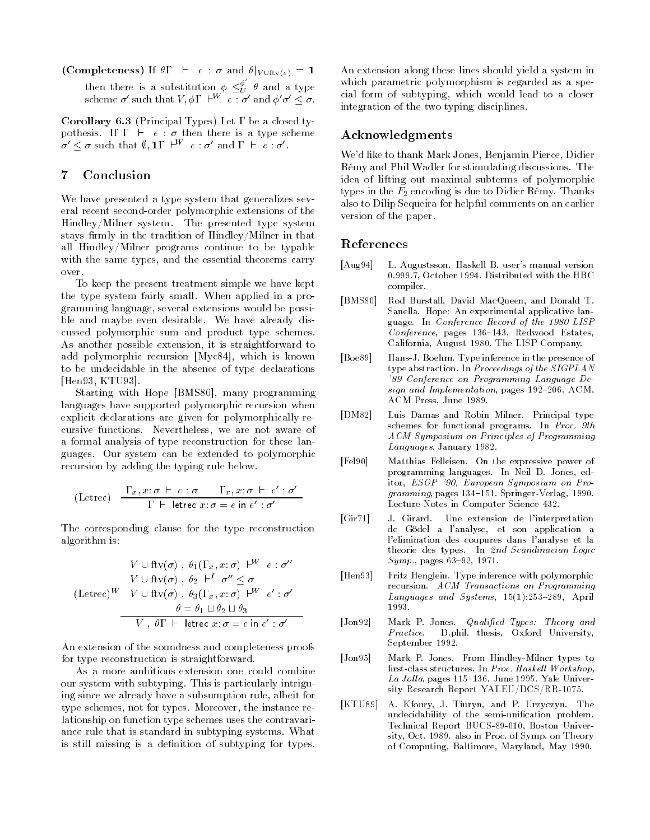(Completeness) If  $\theta \Gamma$  +  $e : \sigma$  and  $\theta|_{V \cup \text{ftv}(e)} = 1$ then there is a substitution  $\phi \leq^{\varrho}_U \theta$  and a type<br>scheme  $\sigma'$  such that  $V$ ,  $\phi \Gamma$   $\vdash^{W}$   $e$  :  $\sigma'$  and  $\phi' \sigma' < \sigma$ .

Corollary 6.3 (Principal Types) Let  $\Gamma$  be a closed typothesis. If  $\Gamma \vdash e : \sigma$  then there is a type scheme  $\sigma' \leq \sigma$  such that  $\emptyset$ ,  $1\Gamma$   $\vdash^{W}$   $e : \sigma'$  and  $\Gamma$   $\vdash$   $e : \sigma'.$ 

### 7 Conclusion

We have presented a type system that generalizes several recent second-order polymorphic extensions of the Hindley/Milner system. The presented type system stays firmly in the tradition of  $Hindley/Milner$  in that all Hindley/Milner programs continue to be typable with the same types, and the essential theorems carry over.

To keep the present treatment simple we have kept the type system fairly small. When applied in a programming language, several extensions would be possible and maybe even desirable. We have already discussed polymorphic sum and product type schemes. As another possible extension, it is straightforward to add polymorphic recursion [Myc84], which is known to be undecidable in the absence of type declarations [Hen93, KTU93].

Starting with Hope [BMS80], many programming languages have supported polymorphic recursion when explicit declarations are given for polymorphically recursive functions. Nevertheless, we are not aware of a formal analysis of type reconstruction for these languages. Our system can be extended to polymorphic recursion by adding the typing rule below.

$$
\text{(Letrec)} \quad \frac{\Gamma_x, x \colon \sigma \ \vdash \ e \ : \sigma \qquad \Gamma_x, x \colon \sigma \ \vdash \ e' \ : \sigma'}{\Gamma \ \vdash \ \text{letterc} \ x \colon \sigma = e \ \text{in} \ e' \ : \sigma'}
$$

The corresponding clause for the type reconstruction algorithm is:

$$
V \cup \text{ftv}(\sigma) , \theta_1(\Gamma_x, x : \sigma) \vdash^W e : \sigma''
$$
  
\n
$$
V \cup \text{ftv}(\sigma) , \theta_2 \vdash^I \sigma'' \leq \sigma
$$
  
\n
$$
(\text{Letrec})^W \quad V \cup \text{ftv}(\sigma) , \theta_3(\Gamma_x, x : \sigma) \vdash^W e' : \sigma'
$$
  
\n
$$
\theta = \theta_1 \sqcup \theta_2 \sqcup \theta_3
$$
  
\n
$$
V , \theta \Gamma \vdash \text{letrec } x : \sigma = e \text{ in } e' : \sigma'
$$

An extension of the soundness and completeness proofs for type reconstruction is straightforward.

As a more ambitious extension one could combine our system with subtyping. This is particularly intriguing since we already have a subsumption rule, albeit for type schemes, not for types. Moreover, the instance relationship on function type schemes uses the contravariance rule that is standard in subtyping systems. What is still missing is a definition of subtyping for types. An extension along these lines should yield a system in which parametric polymorphism is regarded as a special form of subtyping, which would lead to a closer integration of the two typing disciplines.

### Acknowledgments

We'd like to thank Mark Jones, Benjamin Pierce, Didier Rémy and Phil Wadler for stimulating discussions. The idea of lifting out maximal subterms of polymorphic types in the  $F_2$  encoding is due to Didier Rémy. Thanks also to Dilip Sequeira for helpful comments on an earlier version of the paper.

### References

- [Aug94] L. Augustsson. Haskell B. user's manual version 0.999.7, October 1994. Distributed with the HBC compiler.
- [BMS80] Rod Burstall, David MacQueen, and Donald T. Sanella. Hope: An experimental applicative language. In Conference Record of the 1980 LISP  $Conference$ , pages 136-143, Redwood Estates, California, August 1980. The LISP Company.
- [Boe89] Hans-J. Boehm. Type inference in the presence of type abstraction. In Proceedings of the SIGPLAN '89 Conference on Programming Language Design and Implementation, pages 192-206. ACM, ACM Press, June 1989.
- [DM82] Luis Damas and Robin Milner. Principal type schemes for functional programs. In Proc. 9th ACM Symposium on Principles of Programming Languages, January 1982.
- [Fel90] Matthias Felleisen. On the expressive power of programming languages. In Neil D. Jones, editor, ESOP '90, European Symposium on Pro $gramming$ , pages 134-151. Springer-Verlag, 1990. Lecture Notes in Computer Science 432.
- [Gir71] J. Girard. Une extension de l'interpretation de Gödel a l'analyse, et son application a l'elimination des coupures dans l'analyse et la theorie des types. In 2nd Scandinavian Logic  $Symp.,$  pages 63-92, 1971.
- [Hen93] Fritz Henglein. Type inference with polymorphic recursion. ACM Transactions on Programming Languages and Systems,  $15(1):253-289$ , April 1993.
- [Jon92] Mark P. Jones. Qualified Types: Theory and D.phil. thesis, Oxford University, *Practice.* September 1992.
- [Jon95] Mark P. Jones. From Hindley-Milner types to first-class structures. In Proc. Haskell Workshop,  $La$  Jolla, pages 115-136, June 1995. Yale University Research Report YALEU/DCS/RR-1075.
- [KTU89] A. Kfoury, J. Tiuryn, and P. Urzyczyn. The undecidability of the semi-unification problem. Technical Report BUCS-89-010, Boston University, Oct. 1989. also in Proc. of Symp. on Theory of Computing, Baltimore, Maryland, May 1990.